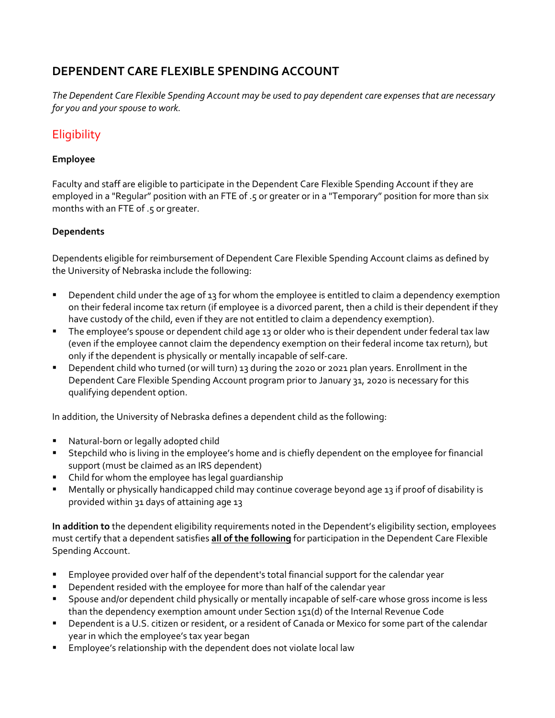# **DEPENDENT CARE FLEXIBLE SPENDING ACCOUNT**

The Dependent Care Flexible Spending Account may be used to pay dependent care expenses that are necessary *for you and your spouse to work.*

# **Eligibility**

#### **Employee**

Faculty and staff are eligible to participate in the Dependent Care Flexible Spending Account if they are employed in a "Regular" position with an FTE of .5 or greater or in a "Temporary" position for more than six months with an FTE of .5 or greater.

#### **Dependents**

Dependents eligible for reimbursement of Dependent Care Flexible Spending Account claims as defined by the University of Nebraska include the following:

- **Dependent child under the age of 13 for whom the employee is entitled to claim a dependency exemption** on their federal income tax return (if employee is a divorced parent, then a child is their dependent if they have custody of the child, even if they are not entitled to claim a dependency exemption).
- The employee's spouse or dependent child age 13 or older who is their dependent under federal tax law (even if the employee cannot claim the dependency exemption on their federal income tax return), but only if the dependent is physically or mentally incapable of self‐care.
- **Dependent child who turned (or will turn) 13 during the 2020 or 2021 plan years. Enrollment in the** Dependent Care Flexible Spending Account program prior to January 31, 2020 is necessary for this qualifying dependent option.

In addition, the University of Nebraska defines a dependent child as the following:

- Natural-born or legally adopted child
- Stepchild who is living in the employee's home and is chiefly dependent on the employee for financial support (must be claimed as an IRS dependent)
- Child for whom the employee has legal quardianship
- Mentally or physically handicapped child may continue coverage beyond age 13 if proof of disability is provided within 31 days of attaining age 13

**In addition to** the dependent eligibility requirements noted in the Dependent's eligibility section, employees must certify that a dependent satisfies **all of the following** for participation in the Dependent Care Flexible Spending Account.

- Employee provided over half of the dependent's total financial support for the calendar year
- **•** Dependent resided with the employee for more than half of the calendar year
- Spouse and/or dependent child physically or mentally incapable of self-care whose gross income is less than the dependency exemption amount under Section 151(d) of the Internal Revenue Code
- **P** Dependent is a U.S. citizen or resident, or a resident of Canada or Mexico for some part of the calendar year in which the employee's tax year began
- **Employee's relationship with the dependent does not violate local law**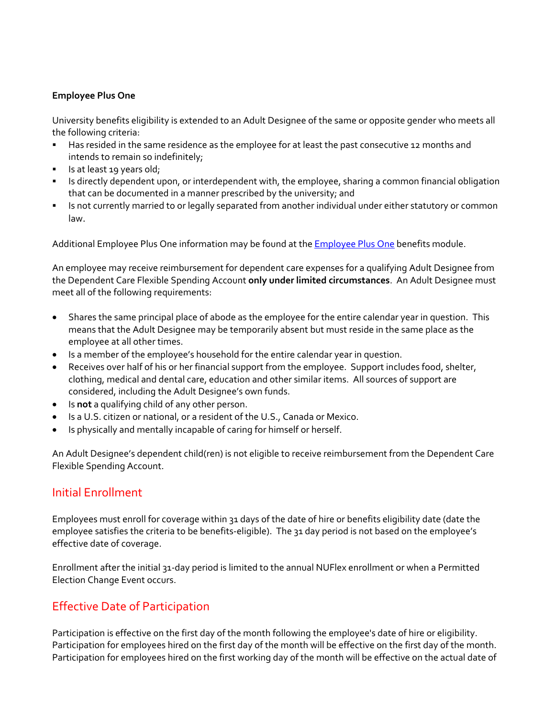#### **Employee Plus One**

University benefits eligibility is extended to an Adult Designee of the same or opposite gender who meets all the following criteria:

- Has resided in the same residence as the employee for at least the past consecutive 12 months and intends to remain so indefinitely;
- Is at least 19 years old;
- Is directly dependent upon, or interdependent with, the employee, sharing a common financial obligation that can be documented in a manner prescribed by the university; and
- Is not currently married to or legally separated from another individual under either statutory or common law.

Additional Employee Plus One information may be found at the Employee Plus One benefits module.

An employee may receive reimbursement for dependent care expenses for a qualifying Adult Designee from the Dependent Care Flexible Spending Account **only under limited circumstances**. An Adult Designee must meet all of the following requirements:

- Shares the same principal place of abode as the employee for the entire calendar year in question. This means that the Adult Designee may be temporarily absent but must reside in the same place as the employee at all other times.
- Is a member of the employee's household for the entire calendar year in question.
- Receives over half of his or her financial support from the employee. Support includes food, shelter, clothing, medical and dental care, education and other similar items. All sources of support are considered, including the Adult Designee's own funds.
- Is **not** a qualifying child of any other person.
- Is a U.S. citizen or national, or a resident of the U.S., Canada or Mexico.
- Is physically and mentally incapable of caring for himself or herself.

An Adult Designee's dependent child(ren) is not eligible to receive reimbursement from the Dependent Care Flexible Spending Account.

#### Initial Enrollment

Employees must enroll for coverage within 31 days of the date of hire or benefits eligibility date (date the employee satisfies the criteria to be benefits-eligible). The 31 day period is not based on the employee's effective date of coverage.

Enrollment after the initial 31‐day period is limited to the annual NUFlex enrollment or when a Permitted Election Change Event occurs.

### Effective Date of Participation

Participation is effective on the first day of the month following the employee's date of hire or eligibility. Participation for employees hired on the first day of the month will be effective on the first day of the month. Participation for employees hired on the first working day of the month will be effective on the actual date of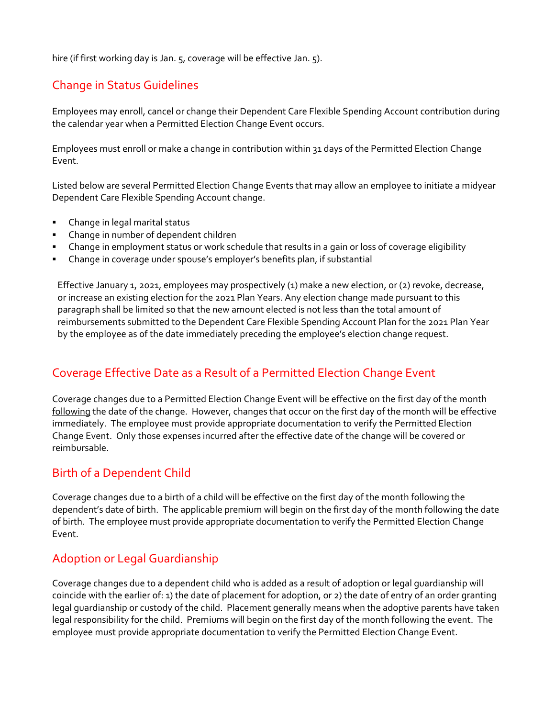hire (if first working day is Jan. 5, coverage will be effective Jan. 5).

# Change in Status Guidelines

Employees may enroll, cancel or change their Dependent Care Flexible Spending Account contribution during the calendar year when a Permitted Election Change Event occurs.

Employees must enroll or make a change in contribution within 31 days of the Permitted Election Change Event.

Listed below are several Permitted Election Change Events that may allow an employee to initiate a midyear Dependent Care Flexible Spending Account change.

- Change in legal marital status
- Change in number of dependent children
- Change in employment status or work schedule that results in a gain or loss of coverage eligibility
- Change in coverage under spouse's employer's benefits plan, if substantial

Effective January 1, 2021, employees may prospectively (1) make a new election, or (2) revoke, decrease, or increase an existing election for the 2021 Plan Years. Any election change made pursuant to this paragraph shall be limited so that the new amount elected is not less than the total amount of reimbursements submitted to the Dependent Care Flexible Spending Account Plan for the 2021 Plan Year by the employee as of the date immediately preceding the employee's election change request.

# Coverage Effective Date as a Result of a Permitted Election Change Event

Coverage changes due to a Permitted Election Change Event will be effective on the first day of the month following the date of the change. However, changes that occur on the first day of the month will be effective immediately. The employee must provide appropriate documentation to verify the Permitted Election Change Event. Only those expenses incurred after the effective date of the change will be covered or reimbursable.

### Birth of a Dependent Child

Coverage changes due to a birth of a child will be effective on the first day of the month following the dependent's date of birth. The applicable premium will begin on the first day of the month following the date of birth. The employee must provide appropriate documentation to verify the Permitted Election Change Event.

### Adoption or Legal Guardianship

Coverage changes due to a dependent child who is added as a result of adoption or legal guardianship will coincide with the earlier of: 1) the date of placement for adoption, or 2) the date of entry of an order granting legal guardianship or custody of the child. Placement generally means when the adoptive parents have taken legal responsibility for the child. Premiums will begin on the first day of the month following the event. The employee must provide appropriate documentation to verify the Permitted Election Change Event.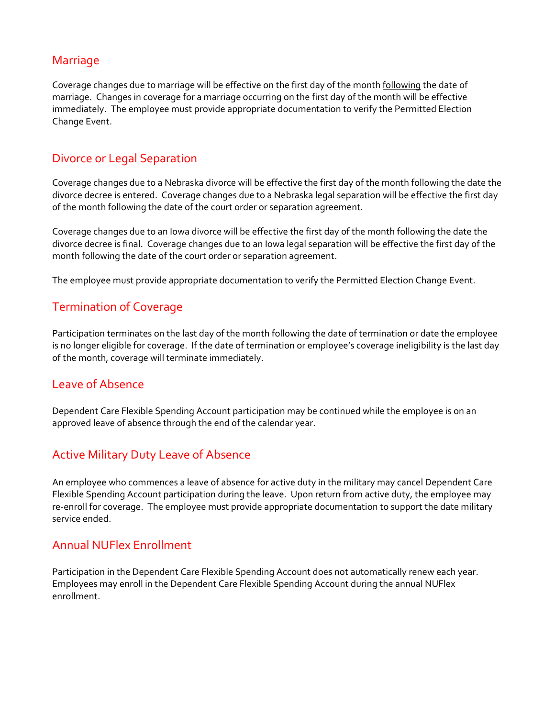#### Marriage

Coverage changes due to marriage will be effective on the first day of the month following the date of marriage. Changes in coverage for a marriage occurring on the first day of the month will be effective immediately. The employee must provide appropriate documentation to verify the Permitted Election Change Event.

## Divorce or Legal Separation

Coverage changes due to a Nebraska divorce will be effective the first day of the month following the date the divorce decree is entered. Coverage changes due to a Nebraska legal separation will be effective the first day of the month following the date of the court order or separation agreement.

Coverage changes due to an Iowa divorce will be effective the first day of the month following the date the divorce decree is final. Coverage changes due to an Iowa legal separation will be effective the first day of the month following the date of the court order or separation agreement.

The employee must provide appropriate documentation to verify the Permitted Election Change Event.

# Termination of Coverage

Participation terminates on the last day of the month following the date of termination or date the employee is no longer eligible for coverage. If the date of termination or employee's coverage ineligibility is the last day of the month, coverage will terminate immediately.

#### Leave of Absence

Dependent Care Flexible Spending Account participation may be continued while the employee is on an approved leave of absence through the end of the calendar year.

### Active Military Duty Leave of Absence

An employee who commences a leave of absence for active duty in the military may cancel Dependent Care Flexible Spending Account participation during the leave. Upon return from active duty, the employee may re-enroll for coverage. The employee must provide appropriate documentation to support the date military service ended.

### Annual NUFlex Enrollment

Participation in the Dependent Care Flexible Spending Account does not automatically renew each year. Employees may enroll in the Dependent Care Flexible Spending Account during the annual NUFlex enrollment.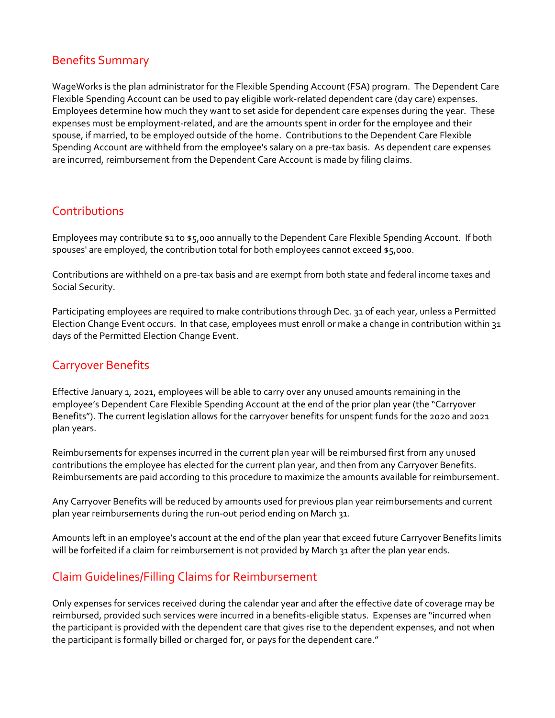## Benefits Summary

WageWorks is the plan administrator for the Flexible Spending Account (FSA) program. The Dependent Care Flexible Spending Account can be used to pay eligible work‐related dependent care (day care) expenses. Employees determine how much they want to set aside for dependent care expenses during the year. These expenses must be employment‐related, and are the amounts spent in order for the employee and their spouse, if married, to be employed outside of the home. Contributions to the Dependent Care Flexible Spending Account are withheld from the employee's salary on a pre‐tax basis. As dependent care expenses are incurred, reimbursement from the Dependent Care Account is made by filing claims.

## **Contributions**

Employees may contribute \$1 to \$5,000 annually to the Dependent Care Flexible Spending Account. If both spouses' are employed, the contribution total for both employees cannot exceed \$5,000.

Contributions are withheld on a pre‐tax basis and are exempt from both state and federal income taxes and Social Security.

Participating employees are required to make contributions through Dec. 31 of each year, unless a Permitted Election Change Event occurs. In that case, employees must enroll or make a change in contribution within 31 days of the Permitted Election Change Event.

# Carryover Benefits

Effective January 1, 2021, employees will be able to carry over any unused amounts remaining in the employee's Dependent Care Flexible Spending Account at the end of the prior plan year (the "Carryover Benefits"). The current legislation allows for the carryover benefits for unspent funds for the 2020 and 2021 plan years.

Reimbursements for expenses incurred in the current plan year will be reimbursed first from any unused contributions the employee has elected for the current plan year, and then from any Carryover Benefits. Reimbursements are paid according to this procedure to maximize the amounts available for reimbursement.

Any Carryover Benefits will be reduced by amounts used for previous plan year reimbursements and current plan year reimbursements during the run-out period ending on March 31.

Amounts left in an employee's account at the end of the plan year that exceed future Carryover Benefits limits will be forfeited if a claim for reimbursement is not provided by March 31 after the plan year ends.

# Claim Guidelines/Filling Claims for Reimbursement

Only expenses for services received during the calendar year and after the effective date of coverage may be reimbursed, provided such services were incurred in a benefits‐eligible status. Expenses are "incurred when the participant is provided with the dependent care that gives rise to the dependent expenses, and not when the participant is formally billed or charged for, or pays for the dependent care."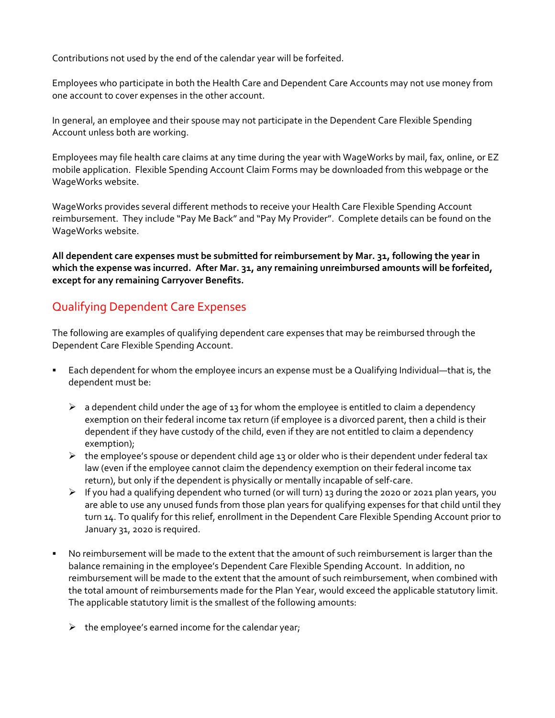Contributions not used by the end of the calendar year will be forfeited.

Employees who participate in both the Health Care and Dependent Care Accounts may not use money from one account to cover expenses in the other account.

In general, an employee and their spouse may not participate in the Dependent Care Flexible Spending Account unless both are working.

Employees may file health care claims at any time during the year with WageWorks by mail, fax, online, or EZ mobile application. Flexible Spending Account Claim Forms may be downloaded from this webpage or the WageWorks website.

WageWorks provides several different methods to receive your Health Care Flexible Spending Account reimbursement. They include "Pay Me Back" and "Pay My Provider". Complete details can be found on the WageWorks website.

**All dependent care expenses must be submitted for reimbursement by Mar. 31, following the year in which the expense was incurred. After Mar. 31, any remaining unreimbursed amounts will be forfeited, except for any remaining Carryover Benefits.**

# Qualifying Dependent Care Expenses

The following are examples of qualifying dependent care expenses that may be reimbursed through the Dependent Care Flexible Spending Account.

- Each dependent for whom the employee incurs an expense must be a Qualifying Individual—that is, the dependent must be:
	- $\triangleright$  a dependent child under the age of 13 for whom the employee is entitled to claim a dependency exemption on their federal income tax return (if employee is a divorced parent, then a child is their dependent if they have custody of the child, even if they are not entitled to claim a dependency exemption);
	- $\triangleright$  the employee's spouse or dependent child age 13 or older who is their dependent under federal tax law (even if the employee cannot claim the dependency exemption on their federal income tax return), but only if the dependent is physically or mentally incapable of self‐care.
	- $\triangleright$  If you had a qualifying dependent who turned (or will turn) 13 during the 2020 or 2021 plan years, you are able to use any unused funds from those plan years for qualifying expenses for that child until they turn 14. To qualify for this relief, enrollment in the Dependent Care Flexible Spending Account prior to January 31, 2020 is required.
- No reimbursement will be made to the extent that the amount of such reimbursement is larger than the balance remaining in the employee's Dependent Care Flexible Spending Account. In addition, no reimbursement will be made to the extent that the amount of such reimbursement, when combined with the total amount of reimbursements made for the Plan Year, would exceed the applicable statutory limit. The applicable statutory limit is the smallest of the following amounts:
	- $\triangleright$  the employee's earned income for the calendar year;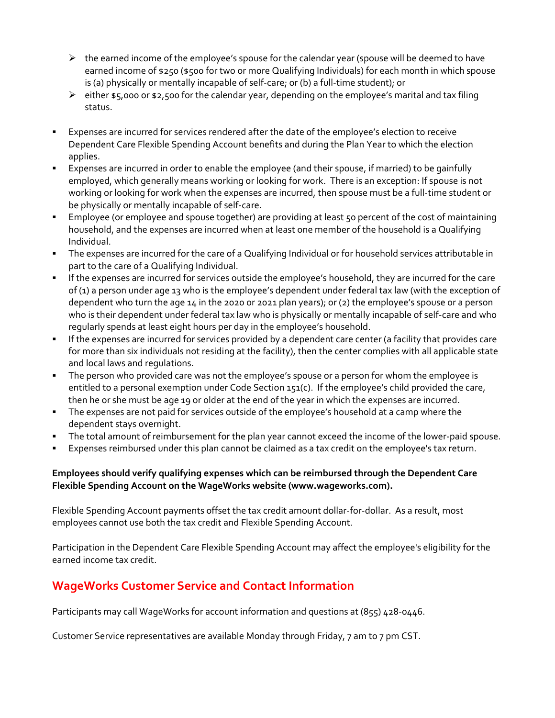- $\triangleright$  the earned income of the employee's spouse for the calendar year (spouse will be deemed to have earned income of \$250 (\$500 for two or more Qualifying Individuals) for each month in which spouse is (a) physically or mentally incapable of self‐care; or (b) a full‐time student); or
- $\triangleright$  either \$5,000 or \$2,500 for the calendar year, depending on the employee's marital and tax filing status.
- Expenses are incurred for services rendered after the date of the employee's election to receive Dependent Care Flexible Spending Account benefits and during the Plan Year to which the election applies.
- Expenses are incurred in order to enable the employee (and their spouse, if married) to be gainfully employed, which generally means working or looking for work. There is an exception: If spouse is not working or looking for work when the expenses are incurred, then spouse must be a full-time student or be physically or mentally incapable of self‐care.
- Employee (or employee and spouse together) are providing at least 50 percent of the cost of maintaining household, and the expenses are incurred when at least one member of the household is a Qualifying Individual.
- The expenses are incurred for the care of a Qualifying Individual or for household services attributable in part to the care of a Qualifying Individual.
- If the expenses are incurred for services outside the employee's household, they are incurred for the care of (1) a person under age 13 who is the employee's dependent under federal tax law (with the exception of dependent who turn the age 14 in the 2020 or 2021 plan years); or (2) the employee's spouse or a person who is their dependent under federal tax law who is physically or mentally incapable of self-care and who regularly spends at least eight hours per day in the employee's household.
- If the expenses are incurred for services provided by a dependent care center (a facility that provides care for more than six individuals not residing at the facility), then the center complies with all applicable state and local laws and regulations.
- The person who provided care was not the employee's spouse or a person for whom the employee is entitled to a personal exemption under Code Section 151(c). If the employee's child provided the care, then he or she must be age 19 or older at the end of the year in which the expenses are incurred.
- **The expenses are not paid for services outside of the employee's household at a camp where the** dependent stays overnight.
- The total amount of reimbursement for the plan year cannot exceed the income of the lower-paid spouse.
- Expenses reimbursed under this plan cannot be claimed as a tax credit on the employee's tax return.

#### **Employees should verify qualifying expenses which can be reimbursed through the Dependent Care Flexible Spending Account on the WageWorks website (www.wageworks.com).**

Flexible Spending Account payments offset the tax credit amount dollar‐for‐dollar. As a result, most employees cannot use both the tax credit and Flexible Spending Account.

Participation in the Dependent Care Flexible Spending Account may affect the employee's eligibility for the earned income tax credit.

# **WageWorks Customer Service and Contact Information**

Participants may call WageWorks for account information and questions at (855) 428‐0446.

Customer Service representatives are available Monday through Friday, 7 am to 7 pm CST.